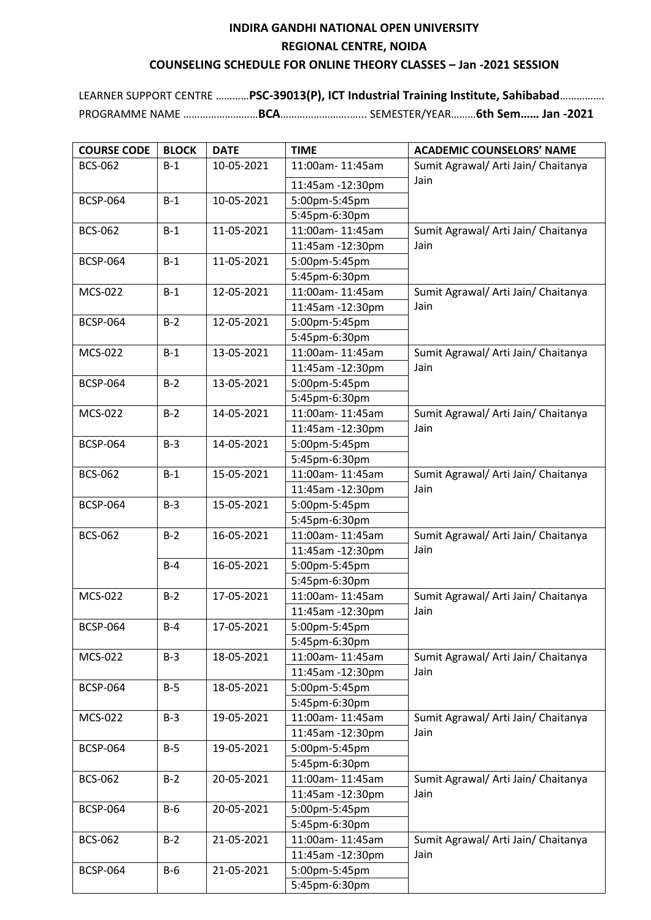## **INDIRA GANDHI NATIONAL OPEN UNIVERSITY REGIONAL CENTRE, NOIDA COUNSELING SCHEDULE FOR ONLINE THEORY CLASSES – Jan -2021 SESSION**

LEARNER SUPPORT CENTRE …………**PSC-39013(P), ICT Industrial Training Institute, Sahibabad**……………. PROGRAMME NAME ………………………**BCA**…………………….…... SEMESTER/YEAR………**6th Sem…… Jan -2021**

| <b>COURSE CODE</b> | <b>BLOCK</b> | <b>DATE</b> | <b>TIME</b>                         | <b>ACADEMIC COUNSELORS' NAME</b>            |
|--------------------|--------------|-------------|-------------------------------------|---------------------------------------------|
| <b>BCS-062</b>     | $B-1$        | 10-05-2021  | 11:00am-11:45am                     | Sumit Agrawal/ Arti Jain/ Chaitanya         |
|                    |              |             | 11:45am -12:30pm                    | Jain                                        |
| <b>BCSP-064</b>    | $B-1$        | 10-05-2021  | 5:00pm-5:45pm                       |                                             |
|                    |              |             | 5:45pm-6:30pm                       |                                             |
| <b>BCS-062</b>     | $B-1$        | 11-05-2021  | 11:00am-11:45am                     | Sumit Agrawal/ Arti Jain/ Chaitanya         |
|                    |              |             | 11:45am -12:30pm                    | Jain                                        |
| <b>BCSP-064</b>    | $B-1$        | 11-05-2021  | 5:00pm-5:45pm                       |                                             |
|                    |              |             | 5:45pm-6:30pm                       |                                             |
| <b>MCS-022</b>     | $B-1$        | 12-05-2021  | 11:00am-11:45am                     | Sumit Agrawal/ Arti Jain/ Chaitanya         |
|                    |              |             | 11:45am -12:30pm                    | Jain                                        |
| <b>BCSP-064</b>    | $B-2$        | 12-05-2021  | 5:00pm-5:45pm                       |                                             |
|                    |              |             | 5:45pm-6:30pm                       |                                             |
| <b>MCS-022</b>     | $B-1$        | 13-05-2021  | 11:00am-11:45am                     | Sumit Agrawal/ Arti Jain/ Chaitanya         |
|                    |              |             | 11:45am -12:30pm                    | Jain                                        |
| <b>BCSP-064</b>    | $B-2$        | 13-05-2021  | 5:00pm-5:45pm                       |                                             |
|                    |              |             | 5:45pm-6:30pm                       |                                             |
| <b>MCS-022</b>     | $B-2$        | 14-05-2021  | 11:00am-11:45am                     | Sumit Agrawal/ Arti Jain/ Chaitanya         |
|                    |              |             | 11:45am -12:30pm                    | Jain                                        |
| <b>BCSP-064</b>    | $B-3$        | 14-05-2021  | 5:00pm-5:45pm                       |                                             |
|                    |              |             | 5:45pm-6:30pm                       |                                             |
| <b>BCS-062</b>     | $B-1$        | 15-05-2021  | 11:00am-11:45am                     | Sumit Agrawal/ Arti Jain/ Chaitanya         |
|                    |              |             | 11:45am -12:30pm                    | Jain                                        |
| <b>BCSP-064</b>    | $B-3$        | 15-05-2021  | 5:00pm-5:45pm                       |                                             |
|                    |              |             | 5:45pm-6:30pm                       |                                             |
| <b>BCS-062</b>     | $B-2$        | 16-05-2021  | 11:00am-11:45am                     | Sumit Agrawal/ Arti Jain/ Chaitanya         |
|                    |              |             | 11:45am -12:30pm                    | Jain                                        |
|                    | $B-4$        | 16-05-2021  | 5:00pm-5:45pm                       |                                             |
|                    |              |             | 5:45pm-6:30pm                       |                                             |
| <b>MCS-022</b>     | $B-2$        | 17-05-2021  | 11:00am-11:45am                     | Sumit Agrawal/ Arti Jain/ Chaitanya         |
|                    |              |             | 11:45am -12:30pm                    | Jain                                        |
| <b>BCSP-064</b>    | $B-4$        | 17-05-2021  | 5:00pm-5:45pm                       |                                             |
|                    |              |             | 5:45pm-6:30pm                       |                                             |
| <b>MCS-022</b>     | $B-3$        | 18-05-2021  | 11:00am-11:45am                     | Sumit Agrawal/ Arti Jain/ Chaitanya         |
|                    |              |             | 11:45am -12:30pm                    | Jain                                        |
| <b>BCSP-064</b>    | $B-5$        | 18-05-2021  | 5:00pm-5:45pm                       |                                             |
|                    |              |             | 5:45pm-6:30pm                       |                                             |
| <b>MCS-022</b>     | $B-3$        | 19-05-2021  | 11:00am-11:45am                     | Sumit Agrawal/ Arti Jain/ Chaitanya         |
|                    |              |             | 11:45am -12:30pm                    | Jain                                        |
| <b>BCSP-064</b>    | $B-5$        | 19-05-2021  | 5:00pm-5:45pm                       |                                             |
|                    |              |             | 5:45pm-6:30pm                       |                                             |
| <b>BCS-062</b>     | $B-2$        | 20-05-2021  | 11:00am-11:45am<br>11:45am -12:30pm | Sumit Agrawal/ Arti Jain/ Chaitanya<br>Jain |
| <b>BCSP-064</b>    | $B-6$        | 20-05-2021  | 5:00pm-5:45pm                       |                                             |
|                    |              |             | 5:45pm-6:30pm                       |                                             |
| <b>BCS-062</b>     | $B-2$        | 21-05-2021  | 11:00am-11:45am                     | Sumit Agrawal/ Arti Jain/ Chaitanya         |
|                    |              |             | 11:45am -12:30pm                    | Jain                                        |
| <b>BCSP-064</b>    | $B-6$        | 21-05-2021  | 5:00pm-5:45pm                       |                                             |
|                    |              |             | 5:45pm-6:30pm                       |                                             |
|                    |              |             |                                     |                                             |